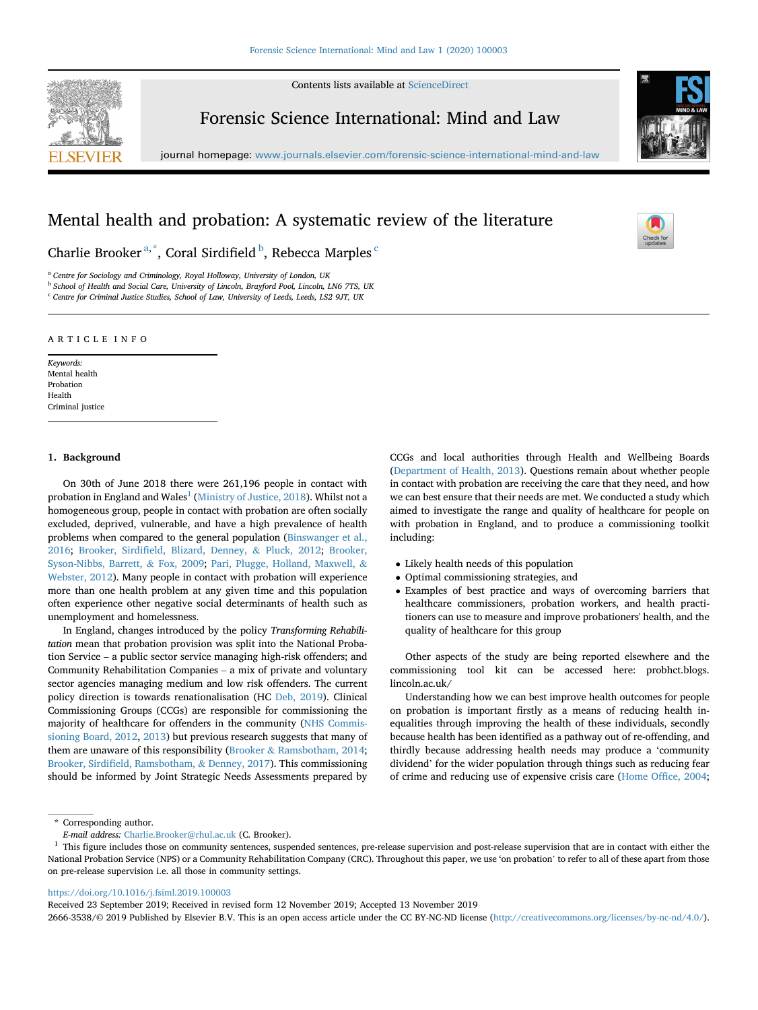Contents lists available at [ScienceDirect](www.sciencedirect.com/science/journal/26663538)



Forensic Science International: Mind and Law

journal homepage: <www.journals.elsevier.com/forensic-science-international-mind-and-law>

# Mental health and probation: A systematic review of the literature

Charlie Brooker<sup>a,\*</sup>, Coral Sirdifield <sup>b</sup>, Rebecca Marples <sup>c</sup>

<sup>a</sup> Centre for Sociology and Criminology, Royal Holloway, University of London, UK

**b** School of Health and Social Care, University of Lincoln, Brayford Pool, Lincoln, LN6 7TS, UK <sup>c</sup> Centre for Criminal Justice Studies, School of Law, University of Leeds, Leeds, LS2 9JT, UK

#### ARTICLE INFO

Keywords: Mental health Probation Health Criminal justice

#### 1. Background

On 30th of June 2018 there were 261,196 people in contact with probation in England and Wales<sup> $1$ </sup> [\(Ministry of Justice, 2018\)](#page-7-0). Whilst not a homogeneous group, people in contact with probation are often socially excluded, deprived, vulnerable, and have a high prevalence of health problems when compared to the general population ([Binswanger et al.,](#page-7-0) [2016;](#page-7-0) Brooker, Sirdifi[eld, Blizard, Denney,](#page-7-0) & [Pluck, 2012](#page-7-0); [Brooker,](#page-7-0) [Syson-Nibbs, Barrett,](#page-7-0) & [Fox, 2009](#page-7-0); [Pari, Plugge, Holland, Maxwell,](#page-7-0) & [Webster, 2012](#page-7-0)). Many people in contact with probation will experience more than one health problem at any given time and this population often experience other negative social determinants of health such as unemployment and homelessness.

In England, changes introduced by the policy Transforming Rehabilitation mean that probation provision was split into the National Probation Service – a public sector service managing high-risk offenders; and Community Rehabilitation Companies – a mix of private and voluntary sector agencies managing medium and low risk offenders. The current policy direction is towards renationalisation (HC [Deb, 2019\)](#page-7-0). Clinical Commissioning Groups (CCGs) are responsible for commissioning the majority of healthcare for offenders in the community ([NHS Commis](#page-7-0)[sioning Board, 2012](#page-7-0), [2013](#page-7-0)) but previous research suggests that many of them are unaware of this responsibility [\(Brooker](#page-7-0) & [Ramsbotham, 2014;](#page-7-0) Brooker, Sirdifi[eld, Ramsbotham,](#page-7-0) & [Denney, 2017](#page-7-0)). This commissioning should be informed by Joint Strategic Needs Assessments prepared by

CCGs and local authorities through Health and Wellbeing Boards ([Department of Health, 2013\)](#page-7-0). Questions remain about whether people in contact with probation are receiving the care that they need, and how we can best ensure that their needs are met. We conducted a study which aimed to investigate the range and quality of healthcare for people on with probation in England, and to produce a commissioning toolkit including:

- Likely health needs of this population
- Optimal commissioning strategies, and
- Examples of best practice and ways of overcoming barriers that healthcare commissioners, probation workers, and health practitioners can use to measure and improve probationers' health, and the quality of healthcare for this group

Other aspects of the study are being reported elsewhere and the commissioning tool kit can be accessed here: probhct.blogs. lincoln.ac.uk/

Understanding how we can best improve health outcomes for people on probation is important firstly as a means of reducing health inequalities through improving the health of these individuals, secondly because health has been identified as a pathway out of re-offending, and thirdly because addressing health needs may produce a 'community dividend' for the wider population through things such as reducing fear of crime and reducing use of expensive crisis care ([Home Of](#page-7-0)fice, 2004;

\* Corresponding author.

#### <https://doi.org/10.1016/j.fsiml.2019.100003>

Received 23 September 2019; Received in revised form 12 November 2019; Accepted 13 November 2019

2666-3538/© 2019 Published by Elsevier B.V. This is an open access article under the CC BY-NC-ND license (<http://creativecommons.org/licenses/by-nc-nd/4.0/>).



E-mail address: [Charlie.Brooker@rhul.ac.uk](mailto:Charlie.Brooker@rhul.ac.uk) (C. Brooker).

<sup>&</sup>lt;sup>1</sup> This figure includes those on community sentences, suspended sentences, pre-release supervision and post-release supervision that are in contact with either the National Probation Service (NPS) or a Community Rehabilitation Company (CRC). Throughout this paper, we use 'on probation' to refer to all of these apart from those on pre-release supervision i.e. all those in community settings.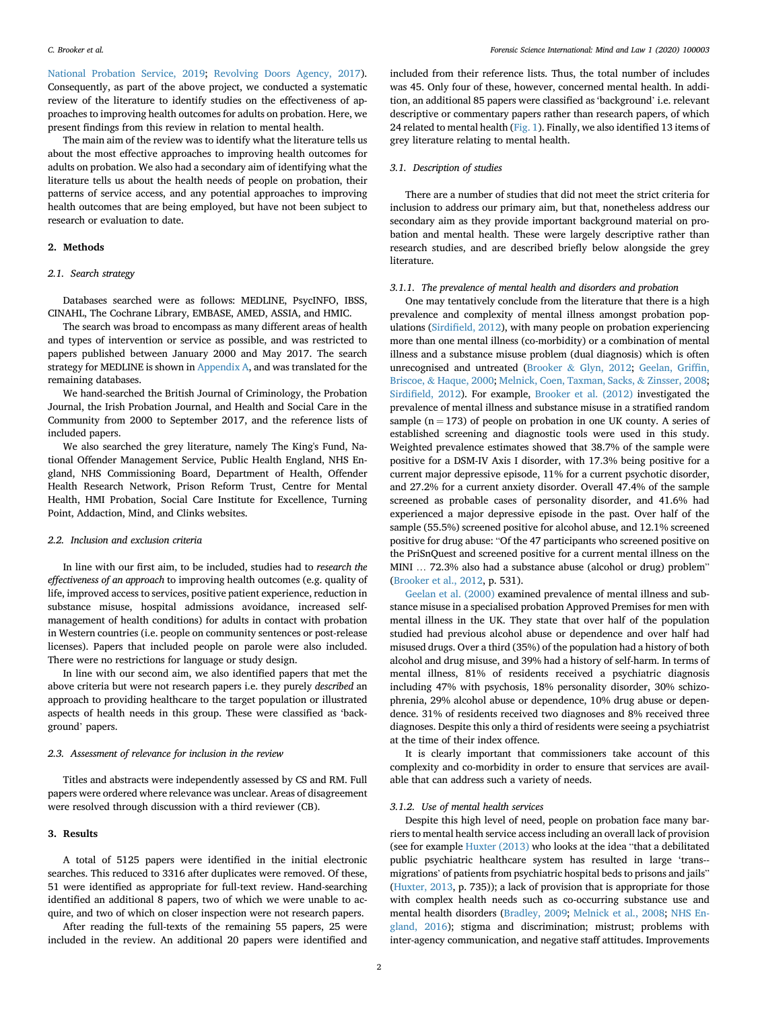[National Probation Service, 2019](#page-7-0); [Revolving Doors Agency, 2017\)](#page-7-0). Consequently, as part of the above project, we conducted a systematic review of the literature to identify studies on the effectiveness of approaches to improving health outcomes for adults on probation. Here, we present findings from this review in relation to mental health.

The main aim of the review was to identify what the literature tells us about the most effective approaches to improving health outcomes for adults on probation. We also had a secondary aim of identifying what the literature tells us about the health needs of people on probation, their patterns of service access, and any potential approaches to improving health outcomes that are being employed, but have not been subject to research or evaluation to date.

#### 2. Methods

#### 2.1. Search strategy

Databases searched were as follows: MEDLINE, PsycINFO, IBSS, CINAHL, The Cochrane Library, EMBASE, AMED, ASSIA, and HMIC.

The search was broad to encompass as many different areas of health and types of intervention or service as possible, and was restricted to papers published between January 2000 and May 2017. The search strategy for MEDLINE is shown in [Appendix A,](#page-6-0) and was translated for the remaining databases.

We hand-searched the British Journal of Criminology, the Probation Journal, the Irish Probation Journal, and Health and Social Care in the Community from 2000 to September 2017, and the reference lists of included papers.

We also searched the grey literature, namely The King's Fund, National Offender Management Service, Public Health England, NHS England, NHS Commissioning Board, Department of Health, Offender Health Research Network, Prison Reform Trust, Centre for Mental Health, HMI Probation, Social Care Institute for Excellence, Turning Point, Addaction, Mind, and Clinks websites.

#### 2.2. Inclusion and exclusion criteria

In line with our first aim, to be included, studies had to research the effectiveness of an approach to improving health outcomes (e.g. quality of life, improved access to services, positive patient experience, reduction in substance misuse, hospital admissions avoidance, increased selfmanagement of health conditions) for adults in contact with probation in Western countries (i.e. people on community sentences or post-release licenses). Papers that included people on parole were also included. There were no restrictions for language or study design.

In line with our second aim, we also identified papers that met the above criteria but were not research papers i.e. they purely described an approach to providing healthcare to the target population or illustrated aspects of health needs in this group. These were classified as 'background' papers.

#### 2.3. Assessment of relevance for inclusion in the review

Titles and abstracts were independently assessed by CS and RM. Full papers were ordered where relevance was unclear. Areas of disagreement were resolved through discussion with a third reviewer (CB).

#### 3. Results

A total of 5125 papers were identified in the initial electronic searches. This reduced to 3316 after duplicates were removed. Of these, 51 were identified as appropriate for full-text review. Hand-searching identified an additional 8 papers, two of which we were unable to acquire, and two of which on closer inspection were not research papers.

After reading the full-texts of the remaining 55 papers, 25 were included in the review. An additional 20 papers were identified and

included from their reference lists. Thus, the total number of includes was 45. Only four of these, however, concerned mental health. In addition, an additional 85 papers were classified as 'background' i.e. relevant descriptive or commentary papers rather than research papers, of which 24 related to mental health ([Fig. 1\)](#page-2-0). Finally, we also identified 13 items of grey literature relating to mental health.

#### 3.1. Description of studies

There are a number of studies that did not meet the strict criteria for inclusion to address our primary aim, but that, nonetheless address our secondary aim as they provide important background material on probation and mental health. These were largely descriptive rather than research studies, and are described briefly below alongside the grey literature.

# 3.1.1. The prevalence of mental health and disorders and probation

One may tentatively conclude from the literature that there is a high prevalence and complexity of mental illness amongst probation populations (Sirdifi[eld, 2012\)](#page-8-0), with many people on probation experiencing more than one mental illness (co-morbidity) or a combination of mental illness and a substance misuse problem (dual diagnosis) which is often unrecognised and untreated [\(Brooker](#page-7-0) & [Glyn, 2012](#page-7-0); [Geelan, Grif](#page-7-0)fin, [Briscoe,](#page-7-0) & [Haque, 2000](#page-7-0); [Melnick, Coen, Taxman, Sacks,](#page-7-0) & [Zinsser, 2008;](#page-7-0) Sirdifi[eld, 2012](#page-8-0)). For example, [Brooker et al. \(2012\)](#page-7-0) investigated the prevalence of mental illness and substance misuse in a stratified random sample  $(n = 173)$  of people on probation in one UK county. A series of established screening and diagnostic tools were used in this study. Weighted prevalence estimates showed that 38.7% of the sample were positive for a DSM-IV Axis I disorder, with 17.3% being positive for a current major depressive episode, 11% for a current psychotic disorder, and 27.2% for a current anxiety disorder. Overall 47.4% of the sample screened as probable cases of personality disorder, and 41.6% had experienced a major depressive episode in the past. Over half of the sample (55.5%) screened positive for alcohol abuse, and 12.1% screened positive for drug abuse: "Of the 47 participants who screened positive on the PriSnQuest and screened positive for a current mental illness on the MINI … 72.3% also had a substance abuse (alcohol or drug) problem" ([Brooker et al., 2012](#page-7-0), p. 531).

[Geelan et al. \(2000\)](#page-7-0) examined prevalence of mental illness and substance misuse in a specialised probation Approved Premises for men with mental illness in the UK. They state that over half of the population studied had previous alcohol abuse or dependence and over half had misused drugs. Over a third (35%) of the population had a history of both alcohol and drug misuse, and 39% had a history of self-harm. In terms of mental illness, 81% of residents received a psychiatric diagnosis including 47% with psychosis, 18% personality disorder, 30% schizophrenia, 29% alcohol abuse or dependence, 10% drug abuse or dependence. 31% of residents received two diagnoses and 8% received three diagnoses. Despite this only a third of residents were seeing a psychiatrist at the time of their index offence.

It is clearly important that commissioners take account of this complexity and co-morbidity in order to ensure that services are available that can address such a variety of needs.

## 3.1.2. Use of mental health services

Despite this high level of need, people on probation face many barriers to mental health service access including an overall lack of provision (see for example [Huxter \(2013\)](#page-7-0) who looks at the idea "that a debilitated public psychiatric healthcare system has resulted in large 'trans- migrations' of patients from psychiatric hospital beds to prisons and jails" ([Huxter, 2013,](#page-7-0) p. 735)); a lack of provision that is appropriate for those with complex health needs such as co-occurring substance use and mental health disorders [\(Bradley, 2009;](#page-7-0) [Melnick et al., 2008](#page-7-0); [NHS En](#page-7-0)[gland, 2016\)](#page-7-0); stigma and discrimination; mistrust; problems with inter-agency communication, and negative staff attitudes. Improvements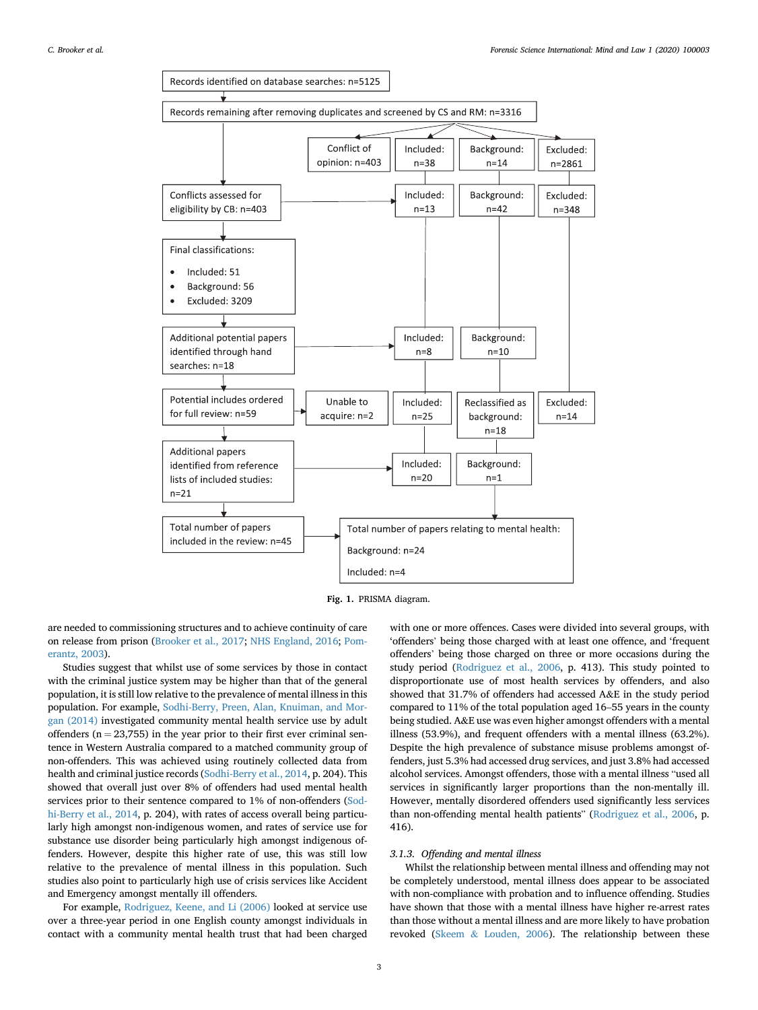<span id="page-2-0"></span>

Fig. 1. PRISMA diagram.

are needed to commissioning structures and to achieve continuity of care on release from prison ([Brooker et al., 2017](#page-7-0); [NHS England, 2016;](#page-7-0) [Pom](#page-7-0)[erantz, 2003\)](#page-7-0).

Studies suggest that whilst use of some services by those in contact with the criminal justice system may be higher than that of the general population, it is still low relative to the prevalence of mental illness in this population. For example, [Sodhi-Berry, Preen, Alan, Knuiman, and Mor](#page-8-0)[gan \(2014\)](#page-8-0) investigated community mental health service use by adult offenders ( $n = 23,755$ ) in the year prior to their first ever criminal sentence in Western Australia compared to a matched community group of non-offenders. This was achieved using routinely collected data from health and criminal justice records ([Sodhi-Berry et al., 2014,](#page-8-0) p. 204). This showed that overall just over 8% of offenders had used mental health services prior to their sentence compared to 1% of non-offenders [\(Sod](#page-8-0)[hi-Berry et al., 2014](#page-8-0), p. 204), with rates of access overall being particularly high amongst non-indigenous women, and rates of service use for substance use disorder being particularly high amongst indigenous offenders. However, despite this higher rate of use, this was still low relative to the prevalence of mental illness in this population. Such studies also point to particularly high use of crisis services like Accident and Emergency amongst mentally ill offenders.

For example, [Rodriguez, Keene, and Li \(2006\)](#page-7-0) looked at service use over a three-year period in one English county amongst individuals in contact with a community mental health trust that had been charged

with one or more offences. Cases were divided into several groups, with 'offenders' being those charged with at least one offence, and 'frequent offenders' being those charged on three or more occasions during the study period ([Rodriguez et al., 2006](#page-7-0), p. 413). This study pointed to disproportionate use of most health services by offenders, and also showed that 31.7% of offenders had accessed A&E in the study period compared to 11% of the total population aged 16–55 years in the county being studied. A&E use was even higher amongst offenders with a mental illness (53.9%), and frequent offenders with a mental illness (63.2%). Despite the high prevalence of substance misuse problems amongst offenders, just 5.3% had accessed drug services, and just 3.8% had accessed alcohol services. Amongst offenders, those with a mental illness "used all services in significantly larger proportions than the non-mentally ill. However, mentally disordered offenders used significantly less services than non-offending mental health patients" [\(Rodriguez et al., 2006,](#page-7-0) p. 416).

# 3.1.3. Offending and mental illness

Whilst the relationship between mental illness and offending may not be completely understood, mental illness does appear to be associated with non-compliance with probation and to influence offending. Studies have shown that those with a mental illness have higher re-arrest rates than those without a mental illness and are more likely to have probation revoked [\(Skeem](#page-8-0) & [Louden, 2006](#page-8-0)). The relationship between these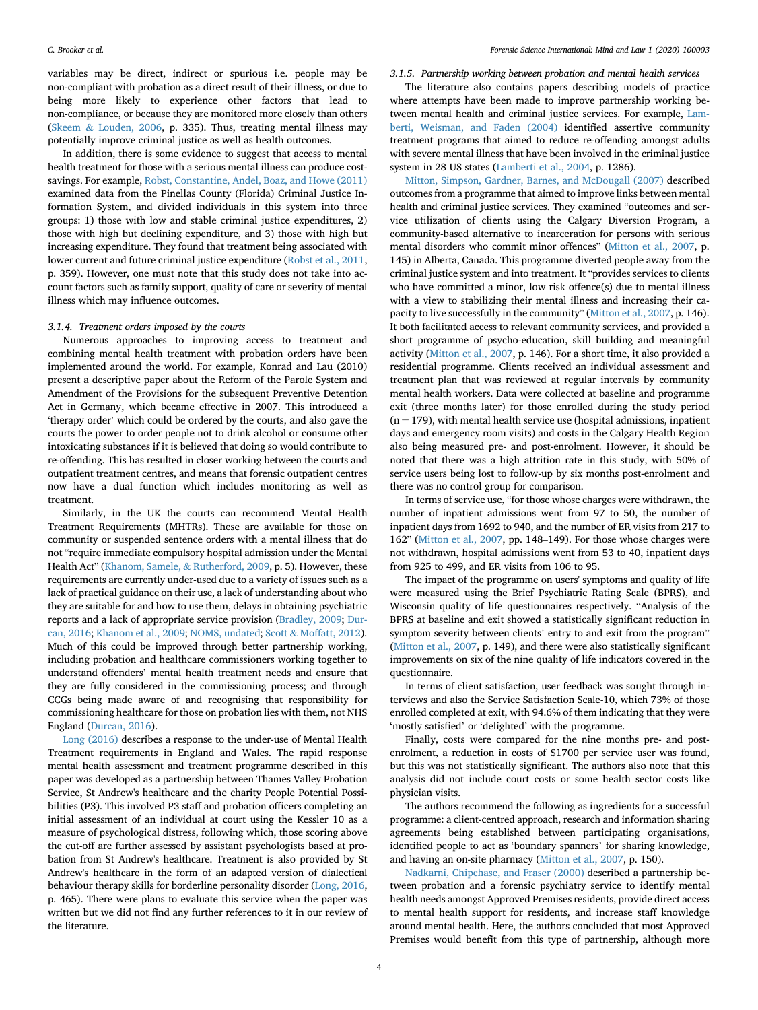variables may be direct, indirect or spurious i.e. people may be non-compliant with probation as a direct result of their illness, or due to being more likely to experience other factors that lead to non-compliance, or because they are monitored more closely than others ([Skeem](#page-8-0) & [Louden, 2006](#page-8-0), p. 335). Thus, treating mental illness may potentially improve criminal justice as well as health outcomes.

In addition, there is some evidence to suggest that access to mental health treatment for those with a serious mental illness can produce costsavings. For example, [Robst, Constantine, Andel, Boaz, and Howe \(2011\)](#page-7-0) examined data from the Pinellas County (Florida) Criminal Justice Information System, and divided individuals in this system into three groups: 1) those with low and stable criminal justice expenditures, 2) those with high but declining expenditure, and 3) those with high but increasing expenditure. They found that treatment being associated with lower current and future criminal justice expenditure [\(Robst et al., 2011,](#page-7-0) p. 359). However, one must note that this study does not take into account factors such as family support, quality of care or severity of mental illness which may influence outcomes.

#### 3.1.4. Treatment orders imposed by the courts

Numerous approaches to improving access to treatment and combining mental health treatment with probation orders have been implemented around the world. For example, Konrad and Lau (2010) present a descriptive paper about the Reform of the Parole System and Amendment of the Provisions for the subsequent Preventive Detention Act in Germany, which became effective in 2007. This introduced a 'therapy order' which could be ordered by the courts, and also gave the courts the power to order people not to drink alcohol or consume other intoxicating substances if it is believed that doing so would contribute to re-offending. This has resulted in closer working between the courts and outpatient treatment centres, and means that forensic outpatient centres now have a dual function which includes monitoring as well as treatment.

Similarly, in the UK the courts can recommend Mental Health Treatment Requirements (MHTRs). These are available for those on community or suspended sentence orders with a mental illness that do not "require immediate compulsory hospital admission under the Mental Health Act" [\(Khanom, Samele,](#page-7-0) & [Rutherford, 2009,](#page-7-0) p. 5). However, these requirements are currently under-used due to a variety of issues such as a lack of practical guidance on their use, a lack of understanding about who they are suitable for and how to use them, delays in obtaining psychiatric reports and a lack of appropriate service provision ([Bradley, 2009;](#page-7-0) [Dur](#page-7-0)[can, 2016;](#page-7-0) [Khanom et al., 2009](#page-7-0); [NOMS, undated;](#page-7-0) [Scott](#page-7-0) & [Moffatt, 2012\)](#page-7-0). Much of this could be improved through better partnership working, including probation and healthcare commissioners working together to understand offenders' mental health treatment needs and ensure that they are fully considered in the commissioning process; and through CCGs being made aware of and recognising that responsibility for commissioning healthcare for those on probation lies with them, not NHS England [\(Durcan, 2016\)](#page-7-0).

[Long \(2016\)](#page-7-0) describes a response to the under-use of Mental Health Treatment requirements in England and Wales. The rapid response mental health assessment and treatment programme described in this paper was developed as a partnership between Thames Valley Probation Service, St Andrew's healthcare and the charity People Potential Possibilities (P3). This involved P3 staff and probation officers completing an initial assessment of an individual at court using the Kessler 10 as a measure of psychological distress, following which, those scoring above the cut-off are further assessed by assistant psychologists based at probation from St Andrew's healthcare. Treatment is also provided by St Andrew's healthcare in the form of an adapted version of dialectical behaviour therapy skills for borderline personality disorder [\(Long, 2016,](#page-7-0) p. 465). There were plans to evaluate this service when the paper was written but we did not find any further references to it in our review of the literature.

#### 3.1.5. Partnership working between probation and mental health services

The literature also contains papers describing models of practice where attempts have been made to improve partnership working between mental health and criminal justice services. For example, [Lam](#page-7-0)[berti, Weisman, and Faden \(2004\)](#page-7-0) identified assertive community treatment programs that aimed to reduce re-offending amongst adults with severe mental illness that have been involved in the criminal justice system in 28 US states [\(Lamberti et al., 2004,](#page-7-0) p. 1286).

[Mitton, Simpson, Gardner, Barnes, and McDougall \(2007\)](#page-7-0) described outcomes from a programme that aimed to improve links between mental health and criminal justice services. They examined "outcomes and service utilization of clients using the Calgary Diversion Program, a community-based alternative to incarceration for persons with serious mental disorders who commit minor offences" [\(Mitton et al., 2007,](#page-7-0) p. 145) in Alberta, Canada. This programme diverted people away from the criminal justice system and into treatment. It "provides services to clients who have committed a minor, low risk offence(s) due to mental illness with a view to stabilizing their mental illness and increasing their capacity to live successfully in the community" ([Mitton et al., 2007](#page-7-0), p. 146). It both facilitated access to relevant community services, and provided a short programme of psycho-education, skill building and meaningful activity ([Mitton et al., 2007](#page-7-0), p. 146). For a short time, it also provided a residential programme. Clients received an individual assessment and treatment plan that was reviewed at regular intervals by community mental health workers. Data were collected at baseline and programme exit (three months later) for those enrolled during the study period  $(n = 179)$ , with mental health service use (hospital admissions, inpatient days and emergency room visits) and costs in the Calgary Health Region also being measured pre- and post-enrolment. However, it should be noted that there was a high attrition rate in this study, with 50% of service users being lost to follow-up by six months post-enrolment and there was no control group for comparison.

In terms of service use, "for those whose charges were withdrawn, the number of inpatient admissions went from 97 to 50, the number of inpatient days from 1692 to 940, and the number of ER visits from 217 to 162" [\(Mitton et al., 2007](#page-7-0), pp. 148–149). For those whose charges were not withdrawn, hospital admissions went from 53 to 40, inpatient days from 925 to 499, and ER visits from 106 to 95.

The impact of the programme on users' symptoms and quality of life were measured using the Brief Psychiatric Rating Scale (BPRS), and Wisconsin quality of life questionnaires respectively. "Analysis of the BPRS at baseline and exit showed a statistically significant reduction in symptom severity between clients' entry to and exit from the program" ([Mitton et al., 2007,](#page-7-0) p. 149), and there were also statistically significant improvements on six of the nine quality of life indicators covered in the questionnaire.

In terms of client satisfaction, user feedback was sought through interviews and also the Service Satisfaction Scale-10, which 73% of those enrolled completed at exit, with 94.6% of them indicating that they were 'mostly satisfied' or 'delighted' with the programme.

Finally, costs were compared for the nine months pre- and postenrolment, a reduction in costs of \$1700 per service user was found, but this was not statistically significant. The authors also note that this analysis did not include court costs or some health sector costs like physician visits.

The authors recommend the following as ingredients for a successful programme: a client-centred approach, research and information sharing agreements being established between participating organisations, identified people to act as 'boundary spanners' for sharing knowledge, and having an on-site pharmacy [\(Mitton et al., 2007,](#page-7-0) p. 150).

[Nadkarni, Chipchase, and Fraser \(2000\)](#page-7-0) described a partnership between probation and a forensic psychiatry service to identify mental health needs amongst Approved Premises residents, provide direct access to mental health support for residents, and increase staff knowledge around mental health. Here, the authors concluded that most Approved Premises would benefit from this type of partnership, although more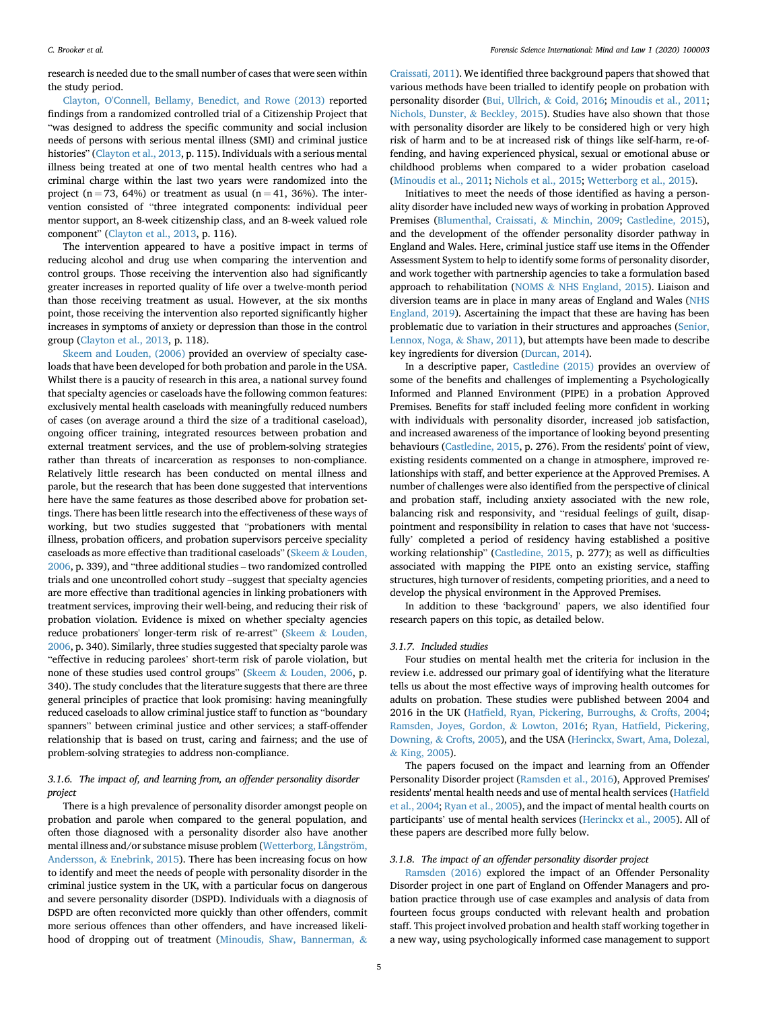research is needed due to the small number of cases that were seen within the study period.

[Clayton, O'Connell, Bellamy, Benedict, and Rowe \(2013\)](#page-7-0) reported findings from a randomized controlled trial of a Citizenship Project that "was designed to address the specific community and social inclusion needs of persons with serious mental illness (SMI) and criminal justice histories" [\(Clayton et al., 2013](#page-7-0), p. 115). Individuals with a serious mental illness being treated at one of two mental health centres who had a criminal charge within the last two years were randomized into the project (n = 73, 64%) or treatment as usual (n = 41, 36%). The intervention consisted of "three integrated components: individual peer mentor support, an 8-week citizenship class, and an 8-week valued role component" [\(Clayton et al., 2013](#page-7-0), p. 116).

The intervention appeared to have a positive impact in terms of reducing alcohol and drug use when comparing the intervention and control groups. Those receiving the intervention also had significantly greater increases in reported quality of life over a twelve-month period than those receiving treatment as usual. However, at the six months point, those receiving the intervention also reported significantly higher increases in symptoms of anxiety or depression than those in the control group [\(Clayton et al., 2013](#page-7-0), p. 118).

[Skeem and Louden, \(2006\)](#page-8-0) provided an overview of specialty caseloads that have been developed for both probation and parole in the USA. Whilst there is a paucity of research in this area, a national survey found that specialty agencies or caseloads have the following common features: exclusively mental health caseloads with meaningfully reduced numbers of cases (on average around a third the size of a traditional caseload), ongoing officer training, integrated resources between probation and external treatment services, and the use of problem-solving strategies rather than threats of incarceration as responses to non-compliance. Relatively little research has been conducted on mental illness and parole, but the research that has been done suggested that interventions here have the same features as those described above for probation settings. There has been little research into the effectiveness of these ways of working, but two studies suggested that "probationers with mental illness, probation officers, and probation supervisors perceive speciality caseloads as more effective than traditional caseloads" [\(Skeem](#page-8-0) & [Louden,](#page-8-0) [2006,](#page-8-0) p. 339), and "three additional studies – two randomized controlled trials and one uncontrolled cohort study –suggest that specialty agencies are more effective than traditional agencies in linking probationers with treatment services, improving their well-being, and reducing their risk of probation violation. Evidence is mixed on whether specialty agencies reduce probationers' longer-term risk of re-arrest" ([Skeem](#page-8-0) & [Louden,](#page-8-0) [2006,](#page-8-0) p. 340). Similarly, three studies suggested that specialty parole was "effective in reducing parolees' short-term risk of parole violation, but none of these studies used control groups" [\(Skeem](#page-8-0) & [Louden, 2006](#page-8-0), p. 340). The study concludes that the literature suggests that there are three general principles of practice that look promising: having meaningfully reduced caseloads to allow criminal justice staff to function as "boundary spanners" between criminal justice and other services; a staff-offender relationship that is based on trust, caring and fairness; and the use of problem-solving strategies to address non-compliance.

# 3.1.6. The impact of, and learning from, an offender personality disorder project

There is a high prevalence of personality disorder amongst people on probation and parole when compared to the general population, and often those diagnosed with a personality disorder also have another mental illness and/or substance misuse problem (Wetterborg, Långström, [Andersson,](#page-8-0) & [Enebrink, 2015\)](#page-8-0). There has been increasing focus on how to identify and meet the needs of people with personality disorder in the criminal justice system in the UK, with a particular focus on dangerous and severe personality disorder (DSPD). Individuals with a diagnosis of DSPD are often reconvicted more quickly than other offenders, commit more serious offences than other offenders, and have increased likelihood of dropping out of treatment ([Minoudis, Shaw, Bannerman,](#page-7-0) &

[Craissati, 2011](#page-7-0)). We identified three background papers that showed that various methods have been trialled to identify people on probation with personality disorder [\(Bui, Ullrich,](#page-7-0) & [Coid, 2016](#page-7-0); [Minoudis et al., 2011;](#page-7-0) [Nichols, Dunster,](#page-7-0) & [Beckley, 2015](#page-7-0)). Studies have also shown that those with personality disorder are likely to be considered high or very high risk of harm and to be at increased risk of things like self-harm, re-offending, and having experienced physical, sexual or emotional abuse or childhood problems when compared to a wider probation caseload ([Minoudis et al., 2011](#page-7-0); [Nichols et al., 2015](#page-7-0); [Wetterborg et al., 2015](#page-8-0)).

Initiatives to meet the needs of those identified as having a personality disorder have included new ways of working in probation Approved Premises ([Blumenthal, Craissati,](#page-7-0) & [Minchin, 2009](#page-7-0); [Castledine, 2015\)](#page-7-0), and the development of the offender personality disorder pathway in England and Wales. Here, criminal justice staff use items in the Offender Assessment System to help to identify some forms of personality disorder, and work together with partnership agencies to take a formulation based approach to rehabilitation ([NOMS](#page-7-0) & [NHS England, 2015](#page-7-0)). Liaison and diversion teams are in place in many areas of England and Wales ([NHS](#page-7-0) [England, 2019](#page-7-0)). Ascertaining the impact that these are having has been problematic due to variation in their structures and approaches [\(Senior,](#page-7-0) [Lennox, Noga,](#page-7-0) & [Shaw, 2011\)](#page-7-0), but attempts have been made to describe key ingredients for diversion ([Durcan, 2014](#page-7-0)).

In a descriptive paper, [Castledine \(2015\)](#page-7-0) provides an overview of some of the benefits and challenges of implementing a Psychologically Informed and Planned Environment (PIPE) in a probation Approved Premises. Benefits for staff included feeling more confident in working with individuals with personality disorder, increased job satisfaction, and increased awareness of the importance of looking beyond presenting behaviours [\(Castledine, 2015](#page-7-0), p. 276). From the residents' point of view, existing residents commented on a change in atmosphere, improved relationships with staff, and better experience at the Approved Premises. A number of challenges were also identified from the perspective of clinical and probation staff, including anxiety associated with the new role, balancing risk and responsivity, and "residual feelings of guilt, disappointment and responsibility in relation to cases that have not 'successfully' completed a period of residency having established a positive working relationship" ([Castledine, 2015,](#page-7-0) p. 277); as well as difficulties associated with mapping the PIPE onto an existing service, staffing structures, high turnover of residents, competing priorities, and a need to develop the physical environment in the Approved Premises.

In addition to these 'background' papers, we also identified four research papers on this topic, as detailed below.

#### 3.1.7. Included studies

Four studies on mental health met the criteria for inclusion in the review i.e. addressed our primary goal of identifying what the literature tells us about the most effective ways of improving health outcomes for adults on probation. These studies were published between 2004 and 2016 in the UK (Hatfi[eld, Ryan, Pickering, Burroughs,](#page-7-0) & [Crofts, 2004;](#page-7-0) [Ramsden, Joyes, Gordon,](#page-7-0) & [Lowton, 2016;](#page-7-0) Ryan, Hatfi[eld, Pickering,](#page-7-0) [Downing,](#page-7-0) & [Crofts, 2005](#page-7-0)), and the USA [\(Herinckx, Swart, Ama, Dolezal,](#page-7-0) & [King, 2005\)](#page-7-0).

The papers focused on the impact and learning from an Offender Personality Disorder project ([Ramsden et al., 2016](#page-7-0)), Approved Premises' residents' mental health needs and use of mental health services ([Hat](#page-7-0)field [et al., 2004](#page-7-0); [Ryan et al., 2005](#page-7-0)), and the impact of mental health courts on participants' use of mental health services [\(Herinckx et al., 2005](#page-7-0)). All of these papers are described more fully below.

# 3.1.8. The impact of an offender personality disorder project

[Ramsden \(2016\)](#page-7-0) explored the impact of an Offender Personality Disorder project in one part of England on Offender Managers and probation practice through use of case examples and analysis of data from fourteen focus groups conducted with relevant health and probation staff. This project involved probation and health staff working together in a new way, using psychologically informed case management to support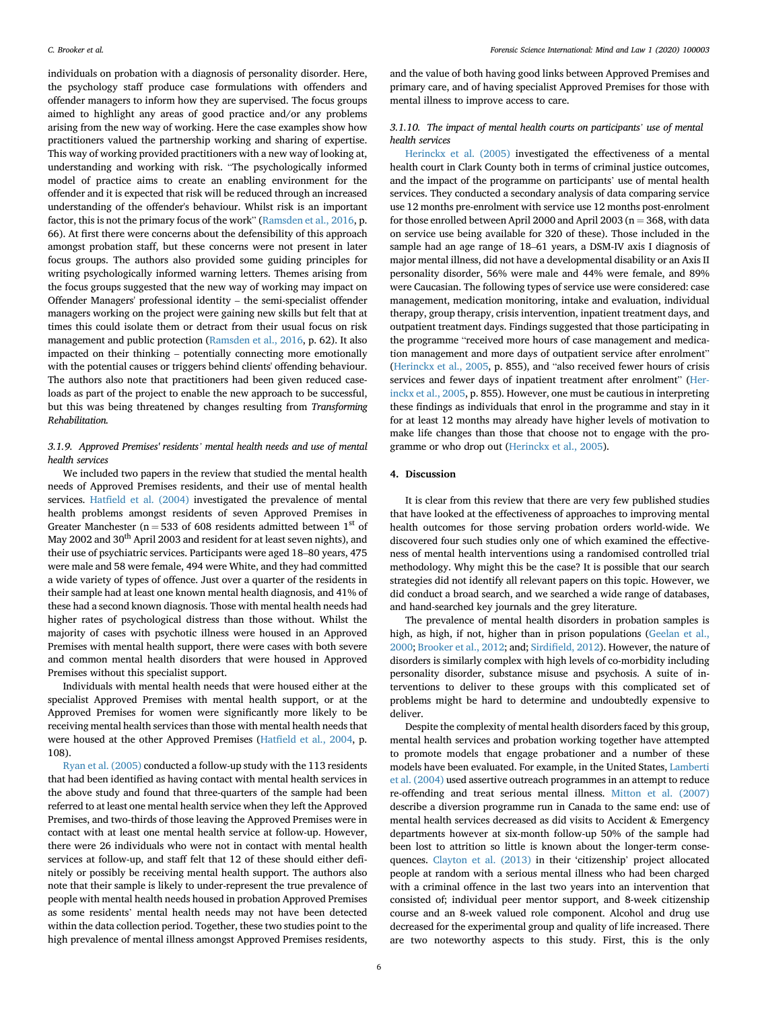individuals on probation with a diagnosis of personality disorder. Here, the psychology staff produce case formulations with offenders and offender managers to inform how they are supervised. The focus groups aimed to highlight any areas of good practice and/or any problems arising from the new way of working. Here the case examples show how practitioners valued the partnership working and sharing of expertise. This way of working provided practitioners with a new way of looking at, understanding and working with risk. "The psychologically informed model of practice aims to create an enabling environment for the offender and it is expected that risk will be reduced through an increased understanding of the offender's behaviour. Whilst risk is an important factor, this is not the primary focus of the work" [\(Ramsden et al., 2016](#page-7-0), p. 66). At first there were concerns about the defensibility of this approach amongst probation staff, but these concerns were not present in later focus groups. The authors also provided some guiding principles for writing psychologically informed warning letters. Themes arising from the focus groups suggested that the new way of working may impact on Offender Managers' professional identity – the semi-specialist offender managers working on the project were gaining new skills but felt that at times this could isolate them or detract from their usual focus on risk management and public protection ([Ramsden et al., 2016](#page-7-0), p. 62). It also impacted on their thinking – potentially connecting more emotionally with the potential causes or triggers behind clients' offending behaviour. The authors also note that practitioners had been given reduced caseloads as part of the project to enable the new approach to be successful, but this was being threatened by changes resulting from Transforming Rehabilitation.

# 3.1.9. Approved Premises' residents' mental health needs and use of mental health services

We included two papers in the review that studied the mental health needs of Approved Premises residents, and their use of mental health services. Hatfi[eld et al. \(2004\)](#page-7-0) investigated the prevalence of mental health problems amongst residents of seven Approved Premises in Greater Manchester ( $n = 533$  of 608 residents admitted between  $1<sup>st</sup>$  of May 2002 and 30<sup>th</sup> April 2003 and resident for at least seven nights), and their use of psychiatric services. Participants were aged 18–80 years, 475 were male and 58 were female, 494 were White, and they had committed a wide variety of types of offence. Just over a quarter of the residents in their sample had at least one known mental health diagnosis, and 41% of these had a second known diagnosis. Those with mental health needs had higher rates of psychological distress than those without. Whilst the majority of cases with psychotic illness were housed in an Approved Premises with mental health support, there were cases with both severe and common mental health disorders that were housed in Approved Premises without this specialist support.

Individuals with mental health needs that were housed either at the specialist Approved Premises with mental health support, or at the Approved Premises for women were significantly more likely to be receiving mental health services than those with mental health needs that were housed at the other Approved Premises (Hatfi[eld et al., 2004,](#page-7-0) p. 108).

[Ryan et al. \(2005\)](#page-7-0) conducted a follow-up study with the 113 residents that had been identified as having contact with mental health services in the above study and found that three-quarters of the sample had been referred to at least one mental health service when they left the Approved Premises, and two-thirds of those leaving the Approved Premises were in contact with at least one mental health service at follow-up. However, there were 26 individuals who were not in contact with mental health services at follow-up, and staff felt that 12 of these should either definitely or possibly be receiving mental health support. The authors also note that their sample is likely to under-represent the true prevalence of people with mental health needs housed in probation Approved Premises as some residents' mental health needs may not have been detected within the data collection period. Together, these two studies point to the high prevalence of mental illness amongst Approved Premises residents,

and the value of both having good links between Approved Premises and primary care, and of having specialist Approved Premises for those with mental illness to improve access to care.

# 3.1.10. The impact of mental health courts on participants' use of mental health services

[Herinckx et al. \(2005\)](#page-7-0) investigated the effectiveness of a mental health court in Clark County both in terms of criminal justice outcomes, and the impact of the programme on participants' use of mental health services. They conducted a secondary analysis of data comparing service use 12 months pre-enrolment with service use 12 months post-enrolment for those enrolled between April 2000 and April 2003 ( $n = 368$ , with data on service use being available for 320 of these). Those included in the sample had an age range of 18–61 years, a DSM-IV axis I diagnosis of major mental illness, did not have a developmental disability or an Axis II personality disorder, 56% were male and 44% were female, and 89% were Caucasian. The following types of service use were considered: case management, medication monitoring, intake and evaluation, individual therapy, group therapy, crisis intervention, inpatient treatment days, and outpatient treatment days. Findings suggested that those participating in the programme "received more hours of case management and medication management and more days of outpatient service after enrolment" ([Herinckx et al., 2005,](#page-7-0) p. 855), and "also received fewer hours of crisis services and fewer days of inpatient treatment after enrolment" [\(Her](#page-7-0)[inckx et al., 2005,](#page-7-0) p. 855). However, one must be cautious in interpreting these findings as individuals that enrol in the programme and stay in it for at least 12 months may already have higher levels of motivation to make life changes than those that choose not to engage with the programme or who drop out [\(Herinckx et al., 2005\)](#page-7-0).

# 4. Discussion

It is clear from this review that there are very few published studies that have looked at the effectiveness of approaches to improving mental health outcomes for those serving probation orders world-wide. We discovered four such studies only one of which examined the effectiveness of mental health interventions using a randomised controlled trial methodology. Why might this be the case? It is possible that our search strategies did not identify all relevant papers on this topic. However, we did conduct a broad search, and we searched a wide range of databases, and hand-searched key journals and the grey literature.

The prevalence of mental health disorders in probation samples is high, as high, if not, higher than in prison populations [\(Geelan et al.,](#page-7-0) [2000;](#page-7-0) [Brooker et al., 2012;](#page-7-0) and; Sirdifi[eld, 2012](#page-8-0)). However, the nature of disorders is similarly complex with high levels of co-morbidity including personality disorder, substance misuse and psychosis. A suite of interventions to deliver to these groups with this complicated set of problems might be hard to determine and undoubtedly expensive to deliver.

Despite the complexity of mental health disorders faced by this group, mental health services and probation working together have attempted to promote models that engage probationer and a number of these models have been evaluated. For example, in the United States, [Lamberti](#page-7-0) [et al. \(2004\)](#page-7-0) used assertive outreach programmes in an attempt to reduce re-offending and treat serious mental illness. [Mitton et al. \(2007\)](#page-7-0) describe a diversion programme run in Canada to the same end: use of mental health services decreased as did visits to Accident & Emergency departments however at six-month follow-up 50% of the sample had been lost to attrition so little is known about the longer-term consequences. [Clayton et al. \(2013\)](#page-7-0) in their 'citizenship' project allocated people at random with a serious mental illness who had been charged with a criminal offence in the last two years into an intervention that consisted of; individual peer mentor support, and 8-week citizenship course and an 8-week valued role component. Alcohol and drug use decreased for the experimental group and quality of life increased. There are two noteworthy aspects to this study. First, this is the only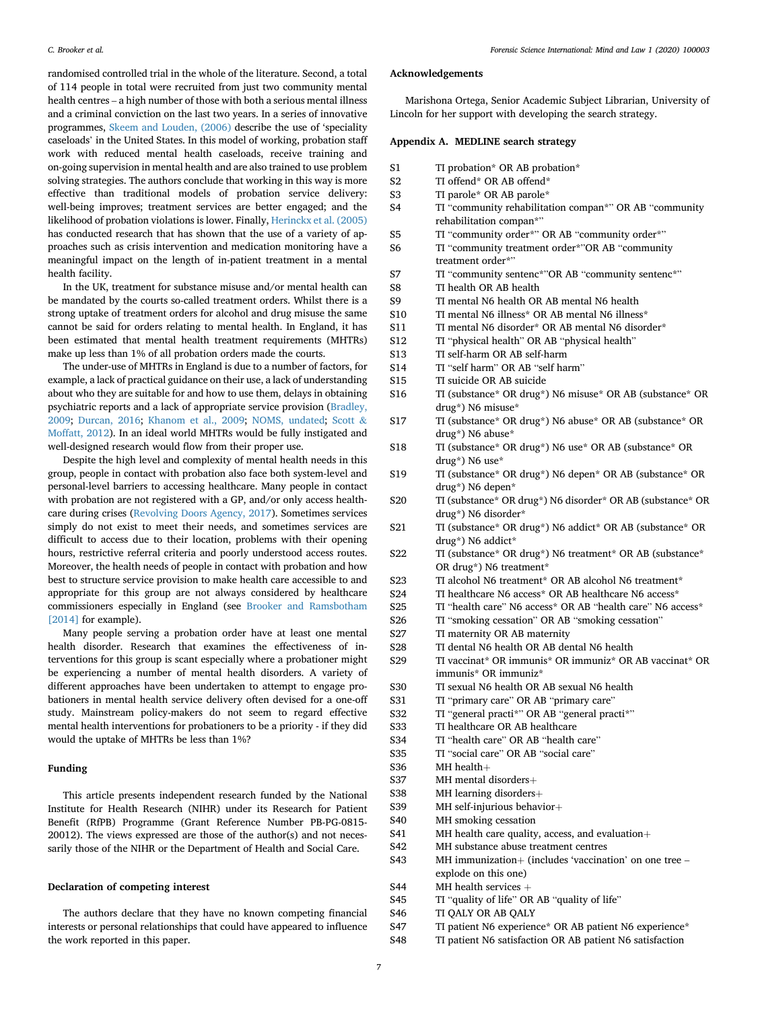<span id="page-6-0"></span>randomised controlled trial in the whole of the literature. Second, a total of 114 people in total were recruited from just two community mental health centres – a high number of those with both a serious mental illness and a criminal conviction on the last two years. In a series of innovative programmes, [Skeem and Louden, \(2006\)](#page-8-0) describe the use of 'speciality caseloads' in the United States. In this model of working, probation staff work with reduced mental health caseloads, receive training and on-going supervision in mental health and are also trained to use problem solving strategies. The authors conclude that working in this way is more effective than traditional models of probation service delivery: well-being improves; treatment services are better engaged; and the likelihood of probation violations is lower. Finally, [Herinckx et al. \(2005\)](#page-7-0) has conducted research that has shown that the use of a variety of approaches such as crisis intervention and medication monitoring have a meaningful impact on the length of in-patient treatment in a mental health facility.

In the UK, treatment for substance misuse and/or mental health can be mandated by the courts so-called treatment orders. Whilst there is a strong uptake of treatment orders for alcohol and drug misuse the same cannot be said for orders relating to mental health. In England, it has been estimated that mental health treatment requirements (MHTRs) make up less than 1% of all probation orders made the courts.

The under-use of MHTRs in England is due to a number of factors, for example, a lack of practical guidance on their use, a lack of understanding about who they are suitable for and how to use them, delays in obtaining psychiatric reports and a lack of appropriate service provision ([Bradley,](#page-7-0) [2009;](#page-7-0) [Durcan, 2016](#page-7-0); [Khanom et al., 2009](#page-7-0); [NOMS, undated](#page-7-0); [Scott](#page-7-0) & [Moffatt, 2012\)](#page-7-0). In an ideal world MHTRs would be fully instigated and well-designed research would flow from their proper use.

Despite the high level and complexity of mental health needs in this group, people in contact with probation also face both system-level and personal-level barriers to accessing healthcare. Many people in contact with probation are not registered with a GP, and/or only access healthcare during crises [\(Revolving Doors Agency, 2017](#page-7-0)). Sometimes services simply do not exist to meet their needs, and sometimes services are difficult to access due to their location, problems with their opening hours, restrictive referral criteria and poorly understood access routes. Moreover, the health needs of people in contact with probation and how best to structure service provision to make health care accessible to and appropriate for this group are not always considered by healthcare commissioners especially in England (see [Brooker and Ramsbotham](#page-7-0) [\[2014\]](#page-7-0) for example).

Many people serving a probation order have at least one mental health disorder. Research that examines the effectiveness of interventions for this group is scant especially where a probationer might be experiencing a number of mental health disorders. A variety of different approaches have been undertaken to attempt to engage probationers in mental health service delivery often devised for a one-off study. Mainstream policy-makers do not seem to regard effective mental health interventions for probationers to be a priority - if they did would the uptake of MHTRs be less than 1%?

#### Funding

This article presents independent research funded by the National Institute for Health Research (NIHR) under its Research for Patient Benefit (RfPB) Programme (Grant Reference Number PB-PG-0815- 20012). The views expressed are those of the author(s) and not necessarily those of the NIHR or the Department of Health and Social Care.

# Declaration of competing interest

The authors declare that they have no known competing financial interests or personal relationships that could have appeared to influence the work reported in this paper.

#### Acknowledgements

Marishona Ortega, Senior Academic Subject Librarian, University of Lincoln for her support with developing the search strategy.

#### Appendix A. MEDLINE search strategy

- S1 TI probation\* OR AB probation\*
- S2 TI offend\* OR AB offend\*
- S3 TI parole\* OR AB parole\*
- S4 TI "community rehabilitation compan\*" OR AB "community rehabilitation compan\*"
- S5 TI "community order\*" OR AB "community order\*"
- S6 TI "community treatment order\*"OR AB "community treatment order\*"
- S7 TI "community sentenc\*"OR AB "community sentenc\*"
- S8 TI health OR AB health
- S9 TI mental N6 health OR AB mental N6 health
- S10 TI mental N6 illness\* OR AB mental N6 illness\*
- S11 TI mental N6 disorder\* OR AB mental N6 disorder\*
- S12 TI "physical health" OR AB "physical health"
- S13 TI self-harm OR AB self-harm
- S14 TI "self harm" OR AB "self harm"
- S15 TI suicide OR AB suicide
- S16 TI (substance\* OR drug\*) N6 misuse\* OR AB (substance\* OR drug\*) N6 misuse\*
- S17 TI (substance\* OR drug\*) N6 abuse\* OR AB (substance\* OR drug\*) N6 abuse\*
- S18 TI (substance\* OR drug\*) N6 use\* OR AB (substance\* OR drug\*) N6 use\*
- S19 TI (substance\* OR drug\*) N6 depen\* OR AB (substance\* OR drug\*) N6 depen\*
- S20 TI (substance\* OR drug\*) N6 disorder\* OR AB (substance\* OR drug\*) N6 disorder\*
- S21 TI (substance\* OR drug\*) N6 addict\* OR AB (substance\* OR drug\*) N6 addict\*
- S22 TI (substance\* OR drug\*) N6 treatment\* OR AB (substance\* OR drug\*) N6 treatment\*
- S23 TI alcohol N6 treatment\* OR AB alcohol N6 treatment\*
- S24 TI healthcare N6 access\* OR AB healthcare N6 access\*
- S25 TI "health care" N6 access\* OR AB "health care" N6 access\*
- S26 TI "smoking cessation" OR AB "smoking cessation"
- S27 TI maternity OR AB maternity
- S28 TI dental N6 health OR AB dental N6 health
- S29 TI vaccinat\* OR immunis\* OR immuniz\* OR AB vaccinat\* OR immunis\* OR immuniz\*
- S30 TI sexual N6 health OR AB sexual N6 health
- S31 TI "primary care" OR AB "primary care"
- S32 TI "general practi\*" OR AB "general practi\*"
- S33 TI healthcare OR AB healthcare
- S34 TI "health care" OR AB "health care"
- S35 TI "social care" OR AB "social care"
- S36 MH health+<br>S37 MH mental  $\alpha$
- S37 MH mental disorders+<br>S38 MH learning disorders
- S38 MH learning disorders+<br>S39 MH self-injurious behav
- S39 MH self-injurious behavior+<br>S40 MH smoking cessation
- MH smoking cessation
- S41 MH health care quality, access, and evaluation + S42 MH substance abuse treatment centres
- MH substance abuse treatment centres
- S43 MH immunization + (includes 'vaccination' on one tree explode on this one)
- S44 MH health services  $+$  S45 TI "quality of life" OR
- TI "quality of life" OR AB "quality of life"
- S46 TI QALY OR AB QALY
- S47 TI patient N6 experience\* OR AB patient N6 experience\*
- S48 TI patient N6 satisfaction OR AB patient N6 satisfaction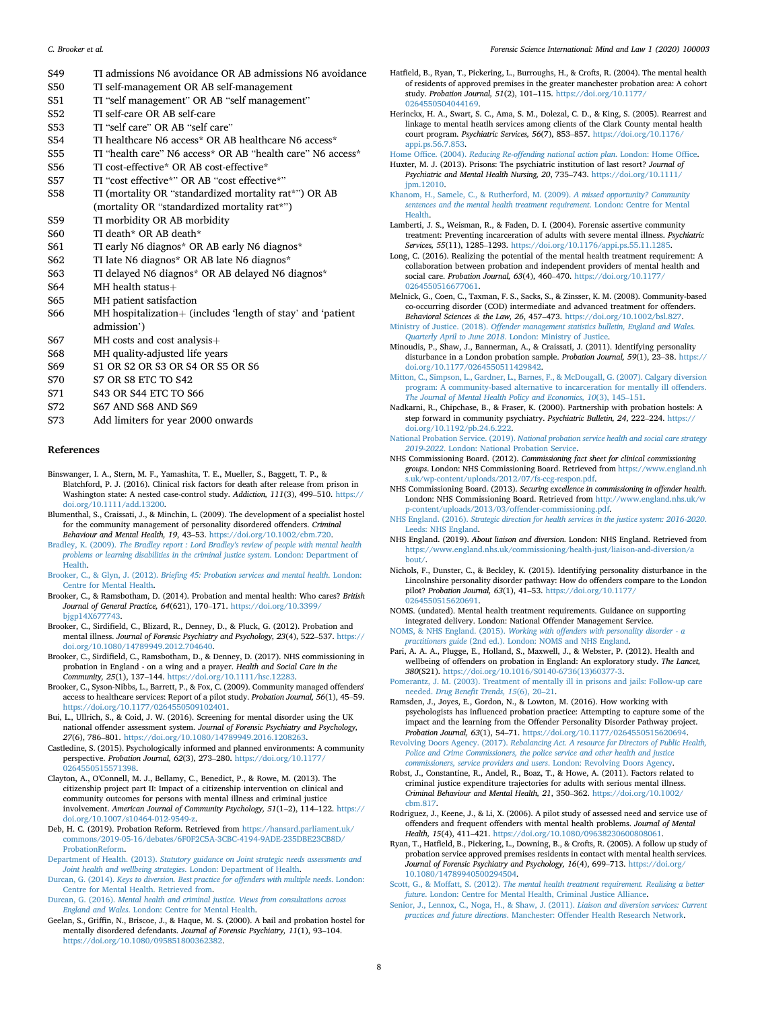- <span id="page-7-0"></span>S49 TI admissions N6 avoidance OR AB admissions N6 avoidance
- S50 TI self-management OR AB self-management
- S51 TI "self management" OR AB "self management"
- S52 TI self-care OR AB self-care
- S53 TI "self care" OR AB "self care"
- S54 TI healthcare N6 access\* OR AB healthcare N6 access\*
- S55 TI "health care" N6 access\* OR AB "health care" N6 access\*
- S56 TI cost-effective\* OR AB cost-effective\*
- S57 TI "cost effective\*" OR AB "cost effective\*"
- S58 TI (mortality OR "standardized mortality rat\*") OR AB (mortality OR "standardized mortality rat\*")
- S59 TI morbidity OR AB morbidity
- S60 TI death\* OR AB death\*
- S61 TI early N6 diagnos\* OR AB early N6 diagnos\*
- S62 TI late N6 diagnos\* OR AB late N6 diagnos\*
- S63 TI delayed N6 diagnos\* OR AB delayed N6 diagnos\*
- S64 MH health status+<br>S65 MH patient satisfac
- MH patient satisfaction
- $S66$  MH hospitalization fincludes 'length of stay' and 'patient admission')
- 
- S67 MH costs and cost analysis + S68 MH quality-adjusted life year MH quality-adjusted life years
- S69 S1 OR S2 OR S3 OR S4 OR S5 OR S6
- S70 S7 OR S8 ETC TO S42
- S71 S43 OR S44 ETC TO S66
- S72 S67 AND S68 AND S69
- S73 Add limiters for year 2000 onwards

#### References

- Binswanger, I. A., Stern, M. F., Yamashita, T. E., Mueller, S., Baggett, T. P., & Blatchford, P. J. (2016). Clinical risk factors for death after release from prison in Washington state: A nested case-control study. Addiction, 111(3), 499–510. [https://](https://doi.org/10.1111/add.13200) [doi.org/10.1111/add.13200](https://doi.org/10.1111/add.13200).
- Blumenthal, S., Craissati, J., & Minchin, L. (2009). The development of a specialist hostel for the community management of personality disordered offenders. Criminal Behaviour and Mental Health, 19, 43–53. <https://doi.org/10.1002/cbm.720>.
- Bradley, K. (2009). [The Bradley report : Lord Bradley's review of people with mental health](http://refhub.elsevier.com/S2666-3538(19)30003-7/sref3) [problems or learning disabilities in the criminal justice system](http://refhub.elsevier.com/S2666-3538(19)30003-7/sref3). London: Department of [Health](http://refhub.elsevier.com/S2666-3538(19)30003-7/sref3).
- Brooker, C., & Glyn, J. (2012). Briefi[ng 45: Probation services and mental health](http://refhub.elsevier.com/S2666-3538(19)30003-7/sref4). London: [Centre for Mental Health](http://refhub.elsevier.com/S2666-3538(19)30003-7/sref4).
- Brooker, C., & Ramsbotham, D. (2014). Probation and mental health: Who cares? British Journal of General Practice, 64(621), 170–171. [https://doi.org/10.3399/](https://doi.org/10.3399/bjgp14X677743) [bjgp14X677743.](https://doi.org/10.3399/bjgp14X677743)
- Brooker, C., Sirdifield, C., Blizard, R., Denney, D., & Pluck, G. (2012). Probation and mental illness. Journal of Forensic Psychiatry and Psychology, 23(4), 522–537. [https://](https://doi.org/10.1080/14789949.2012.704640) [doi.org/10.1080/14789949.2012.704640](https://doi.org/10.1080/14789949.2012.704640).
- Brooker, C., Sirdifield, C., Ramsbotham, D., & Denney, D. (2017). NHS commissioning in probation in England - on a wing and a prayer. Health and Social Care in the Community, 25(1), 137–144. [https://doi.org/10.1111/hsc.12283.](https://doi.org/10.1111/hsc.12283)
- Brooker, C., Syson-Nibbs, L., Barrett, P., & Fox, C. (2009). Community managed offenders' access to healthcare services: Report of a pilot study. Probation Journal, 56(1), 45–59. <https://doi.org/10.1177/0264550509102401>.
- Bui, L., Ullrich, S., & Coid, J. W. (2016). Screening for mental disorder using the UK national offender assessment system. Journal of Forensic Psychiatry and Psychology, 27(6), 786–801. <https://doi.org/10.1080/14789949.2016.1208263>.
- Castledine, S. (2015). Psychologically informed and planned environments: A community perspective. Probation Journal, 62(3), 273–280. [https://doi.org/10.1177/](https://doi.org/10.1177/0264550515571398) [0264550515571398.](https://doi.org/10.1177/0264550515571398)
- Clayton, A., O'Connell, M. J., Bellamy, C., Benedict, P., & Rowe, M. (2013). The citizenship project part II: Impact of a citizenship intervention on clinical and community outcomes for persons with mental illness and criminal justice involvement. American Journal of Community Psychology, 51(1–2), 114–122. [https://](https://doi.org/10.1007/s10464-012-9549-z) [doi.org/10.1007/s10464-012-9549-z.](https://doi.org/10.1007/s10464-012-9549-z)
- Deb, H. C. (2019). Probation Reform. Retrieved from [https://hansard.parliament.uk/](https://hansard.parliament.uk/commons/2019-05-16/debates/6F0F2C5A-3CBC-4194-9ADE-235DBE23CB8D/ProbationReform) [commons/2019-05-16/debates/6F0F2C5A-3CBC-4194-9ADE-235DBE23CB8D/](https://hansard.parliament.uk/commons/2019-05-16/debates/6F0F2C5A-3CBC-4194-9ADE-235DBE23CB8D/ProbationReform) [ProbationReform.](https://hansard.parliament.uk/commons/2019-05-16/debates/6F0F2C5A-3CBC-4194-9ADE-235DBE23CB8D/ProbationReform)
- Department of Health. (2013). [Statutory guidance on Joint strategic needs assessments and](http://refhub.elsevier.com/S2666-3538(19)30003-7/sref13) [Joint health and wellbeing strategies](http://refhub.elsevier.com/S2666-3538(19)30003-7/sref13). London: Department of Health.
- Durcan, G. (2014). [Keys to diversion. Best practice for offenders with multiple needs](http://refhub.elsevier.com/S2666-3538(19)30003-7/sref14). London: [Centre for Mental Health. Retrieved from.](http://refhub.elsevier.com/S2666-3538(19)30003-7/sref14)
- Durcan, G. (2016). [Mental health and criminal justice. Views from consultations across](http://refhub.elsevier.com/S2666-3538(19)30003-7/sref15) England and Wales[. London: Centre for Mental Health.](http://refhub.elsevier.com/S2666-3538(19)30003-7/sref15)
- Geelan, S., Griffin, N., Briscoe, J., & Haque, M. S. (2000). A bail and probation hostel for mentally disordered defendants. Journal of Forensic Psychiatry, 11(1), 93–104. [https://doi.org/10.1080/095851800362382.](https://doi.org/10.1080/095851800362382)
- Hatfield, B., Ryan, T., Pickering, L., Burroughs, H., & Crofts, R. (2004). The mental health of residents of approved premises in the greater manchester probation area: A cohort study. Probation Journal, 51(2), 101–115. [https://doi.org/10.1177/](https://doi.org/10.1177/0264550504044169) [0264550504044169.](https://doi.org/10.1177/0264550504044169)
- Herinckx, H. A., Swart, S. C., Ama, S. M., Dolezal, C. D., & King, S. (2005). Rearrest and linkage to mental heatlh services among clients of the Clark County mental health court program. Psychiatric Services, 56(7), 853–857. [https://doi.org/10.1176/](https://doi.org/10.1176/appi.ps.56.7.853) [appi.ps.56.7.853](https://doi.org/10.1176/appi.ps.56.7.853).

Home Office. (2004). [Reducing Re-offending national action plan](http://refhub.elsevier.com/S2666-3538(19)30003-7/sref19). London: Home Office. Huxter, M. J. (2013). Prisons: The psychiatric institution of last resort? Journal of Psychiatric and Mental Health Nursing, 20, 735-743. https://doi.org/10.1111 [jpm.12010.](https://doi.org/10.1111/jpm.12010)

[Khanom, H., Samele, C., & Rutherford, M. \(2009\).](http://refhub.elsevier.com/S2666-3538(19)30003-7/sref21) A missed opportunity? Community [sentences and the mental health treatment requirement](http://refhub.elsevier.com/S2666-3538(19)30003-7/sref21). London: Centre for Mental [Health](http://refhub.elsevier.com/S2666-3538(19)30003-7/sref21).

- Lamberti, J. S., Weisman, R., & Faden, D. I. (2004). Forensic assertive community treatment: Preventing incarceration of adults with severe mental illness. Psychiatric Services, 55(11), 1285–1293. [https://doi.org/10.1176/appi.ps.55.11.1285.](https://doi.org/10.1176/appi.ps.55.11.1285)
- Long, C. (2016). Realizing the potential of the mental health treatment requirement: A collaboration between probation and independent providers of mental health and social care. Probation Journal, 63(4), 460-470. [https://doi.org/10.1177/](https://doi.org/10.1177/0264550516677061) [0264550516677061.](https://doi.org/10.1177/0264550516677061)
- Melnick, G., Coen, C., Taxman, F. S., Sacks, S., & Zinsser, K. M. (2008). Community-based co-occurring disorder (COD) intermediate and advanced treatment for offenders. Behavioral Sciences & the Law, 26, 457–473. [https://doi.org/10.1002/bsl.827.](https://doi.org/10.1002/bsl.827)

Ministry of Justice. (2018). [Offender management statistics bulletin, England and Wales.](http://refhub.elsevier.com/S2666-3538(19)30003-7/sref25) Quarterly April to June 2018[. London: Ministry of Justice.](http://refhub.elsevier.com/S2666-3538(19)30003-7/sref25)

- Minoudis, P., Shaw, J., Bannerman, A., & Craissati, J. (2011). Identifying personality disturbance in a London probation sample. Probation Journal, 59(1), 23–38. [https://](https://doi.org/10.1177/0264550511429842) [doi.org/10.1177/0264550511429842](https://doi.org/10.1177/0264550511429842).
- [Mitton, C., Simpson, L., Gardner, L., Barnes, F., & McDougall, G. \(2007\). Calgary diversion](http://refhub.elsevier.com/S2666-3538(19)30003-7/sref27) [program: A community-based alternative to incarceration for mentally ill offenders.](http://refhub.elsevier.com/S2666-3538(19)30003-7/sref27) [The Journal of Mental Health Policy and Economics, 10](http://refhub.elsevier.com/S2666-3538(19)30003-7/sref27)(3), 145–[151.](http://refhub.elsevier.com/S2666-3538(19)30003-7/sref27)
- Nadkarni, R., Chipchase, B., & Fraser, K. (2000). Partnership with probation hostels: A step forward in community psychiatry. Psychiatric Bulletin, 24, 222–224. [https://](https://doi.org/10.1192/pb.24.6.222) [doi.org/10.1192/pb.24.6.222.](https://doi.org/10.1192/pb.24.6.222)
- National Probation Service. (2019). [National probation service health and social care strategy](http://refhub.elsevier.com/S2666-3538(19)30003-7/sref29) 2019-2022[. London: National Probation Service](http://refhub.elsevier.com/S2666-3538(19)30003-7/sref29).
- NHS Commissioning Board. (2012). Commissioning fact sheet for clinical commissioning groups. London: NHS Commissioning Board. Retrieved from [https://www.england.nh](https://www.england.nhs.uk/wp-content/uploads/2012/07/fs-ccg-respon.pdf) [s.uk/wp-content/uploads/2012/07/fs-ccg-respon.pdf](https://www.england.nhs.uk/wp-content/uploads/2012/07/fs-ccg-respon.pdf).
- NHS Commissioning Board. (2013). Securing excellence in commissioning in offender health. London: NHS Commissioning Board. Retrieved from [http://www.england.nhs.uk/w](http://www.england.nhs.uk/wp-content/uploads/2013/03/offender-commissioning.pdf) [p-content/uploads/2013/03/offender-commissioning.pdf](http://www.england.nhs.uk/wp-content/uploads/2013/03/offender-commissioning.pdf).
- NHS England. (2016). [Strategic direction for health services in the justice system: 2016-2020](http://refhub.elsevier.com/S2666-3538(19)30003-7/sref32). [Leeds: NHS England.](http://refhub.elsevier.com/S2666-3538(19)30003-7/sref32)
- NHS England. (2019). About liaison and diversion. London: NHS England. Retrieved from [https://www.england.nhs.uk/commissioning/health-just/liaison-and-diversion/a](https://www.england.nhs.uk/commissioning/health-just/liaison-and-diversion/about/) [bout/](https://www.england.nhs.uk/commissioning/health-just/liaison-and-diversion/about/).
- Nichols, F., Dunster, C., & Beckley, K. (2015). Identifying personality disturbance in the Lincolnshire personality disorder pathway: How do offenders compare to the London pilot? Probation Journal, 63(1), 41–53. [https://doi.org/10.1177/](https://doi.org/10.1177/0264550515620691) [0264550515620691.](https://doi.org/10.1177/0264550515620691)

NOMS. (undated). Mental health treatment requirements. Guidance on supporting integrated delivery. London: National Offender Management Service.

- NOMS, & NHS England. (2015). [Working with offenders with personality disorder a](http://refhub.elsevier.com/S2666-3538(19)30003-7/sref36) practitioners guide [\(2nd ed.\). London: NOMS and NHS England](http://refhub.elsevier.com/S2666-3538(19)30003-7/sref36).
- Pari, A. A. A., Plugge, E., Holland, S., Maxwell, J., & Webster, P. (2012). Health and wellbeing of offenders on probation in England: An exploratory study. The Lancet, 380(S21). [https://doi.org/10.1016/S0140-6736\(13\)60377-3](https://doi.org/10.1016/S0140-6736(13)60377-3).
- [Pomerantz, J. M. \(2003\). Treatment of mentally ill in prisons and jails: Follow-up care](http://refhub.elsevier.com/S2666-3538(19)30003-7/sref38) needed. Drug Benefi[t Trends, 15](http://refhub.elsevier.com/S2666-3538(19)30003-7/sref38)(6), 20–[21](http://refhub.elsevier.com/S2666-3538(19)30003-7/sref38).
- Ramsden, J., Joyes, E., Gordon, N., & Lowton, M. (2016). How working with psychologists has influenced probation practice: Attempting to capture some of the impact and the learning from the Offender Personality Disorder Pathway project. Probation Journal, 63(1), 54–71. [https://doi.org/10.1177/0264550515620694.](https://doi.org/10.1177/0264550515620694)
- Revolving Doors Agency. (2017). [Rebalancing Act. A resource for Directors of Public Health,](http://refhub.elsevier.com/S2666-3538(19)30003-7/sref40) [Police and Crime Commissioners, the police service and other health and justice](http://refhub.elsevier.com/S2666-3538(19)30003-7/sref40) [commissioners, service providers and users](http://refhub.elsevier.com/S2666-3538(19)30003-7/sref40). London: Revolving Doors Agency.
- Robst, J., Constantine, R., Andel, R., Boaz, T., & Howe, A. (2011). Factors related to criminal justice expenditure trajectories for adults with serious mental illness. Criminal Behaviour and Mental Health, 21, 350–362. [https://doi.org/10.1002/](https://doi.org/10.1002/cbm.817) [cbm.817.](https://doi.org/10.1002/cbm.817)
- Rodriguez, J., Keene, J., & Li, X. (2006). A pilot study of assessed need and service use of offenders and frequent offenders with mental health problems. Journal of Mental Health, 15(4), 411–421. <https://doi.org/10.1080/09638230600808061>.
- Ryan, T., Hatfield, B., Pickering, L., Downing, B., & Crofts, R. (2005). A follow up study of probation service approved premises residents in contact with mental health services. Journal of Forensic Psychiatry and Psychology, 16(4), 699–713. [https://doi.org/](https://doi.org/10.1080/14789940500294504) [10.1080/14789940500294504.](https://doi.org/10.1080/14789940500294504)
- Scott, G., & Moffatt, S. (2012). [The mental health treatment requirement. Realising a better](http://refhub.elsevier.com/S2666-3538(19)30003-7/sref44) future[. London: Centre for Mental Health, Criminal Justice Alliance](http://refhub.elsevier.com/S2666-3538(19)30003-7/sref44).
- [Senior, J., Lennox, C., Noga, H., & Shaw, J. \(2011\).](http://refhub.elsevier.com/S2666-3538(19)30003-7/sref45) Liaison and diversion services: Current practices and future directions[. Manchester: Offender Health Research Network](http://refhub.elsevier.com/S2666-3538(19)30003-7/sref45).